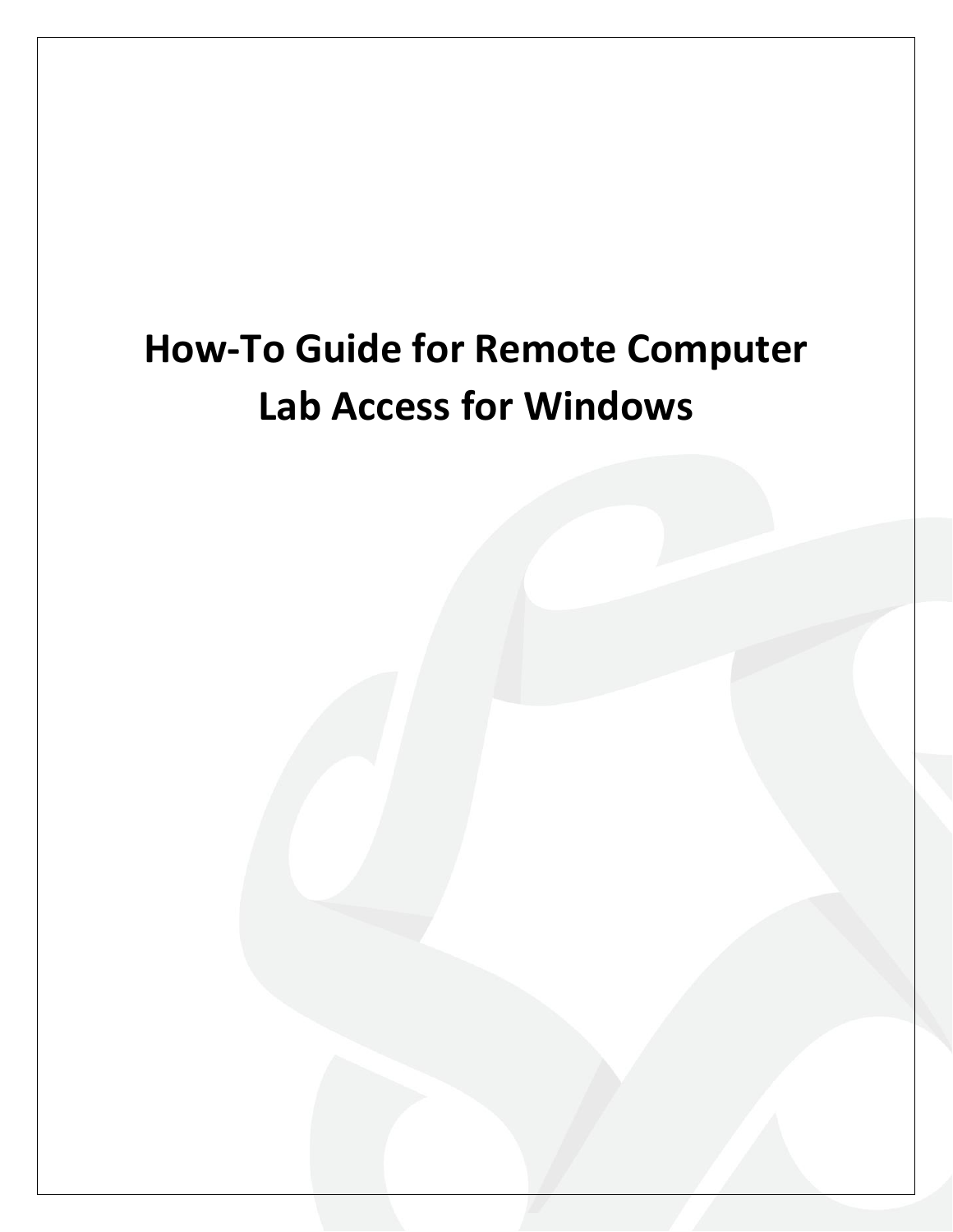# **How-To Guide for Remote Computer Lab Access for Windows**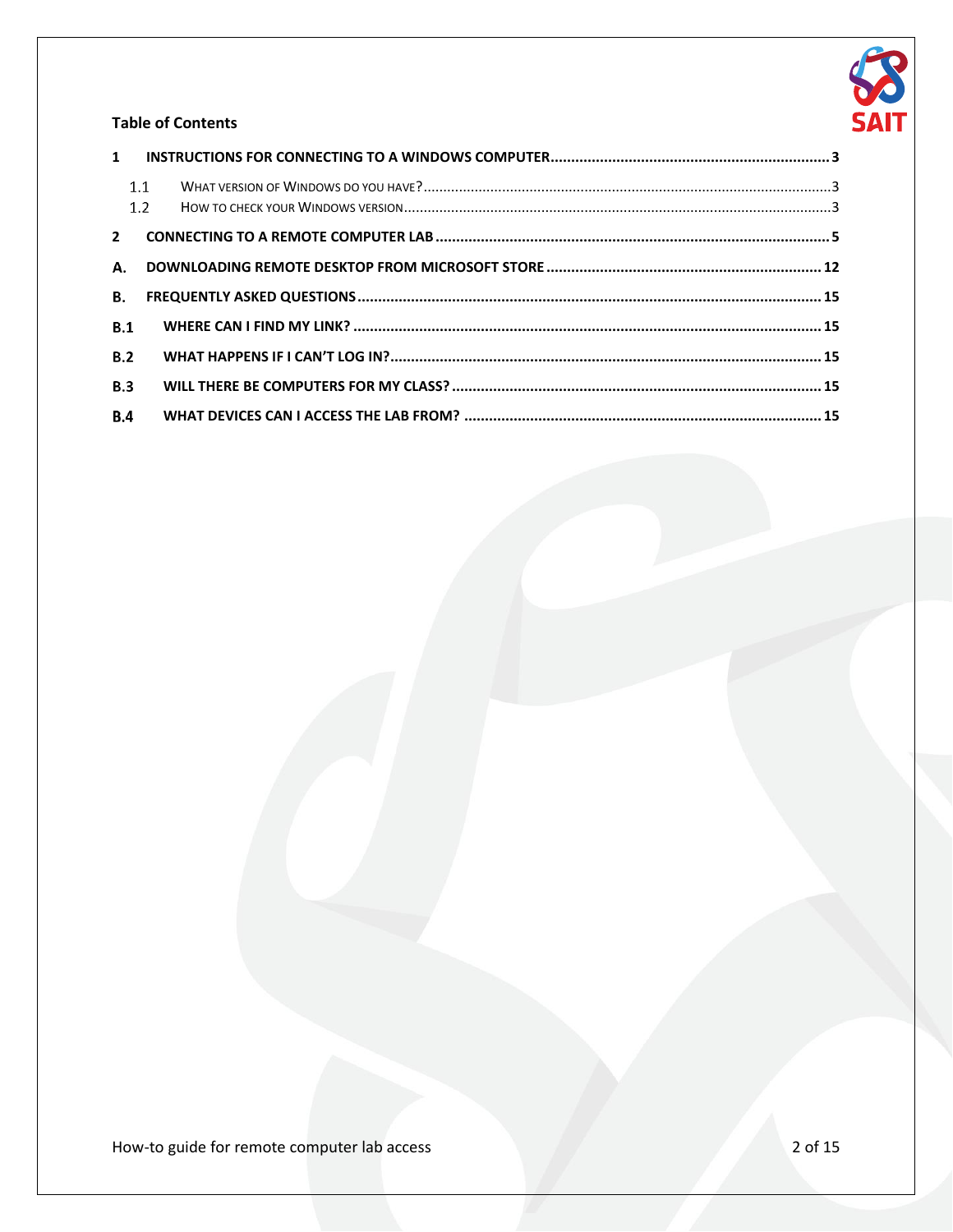

#### **Table of Contents**

|             | 1.1<br>1.2 |  |
|-------------|------------|--|
| $2^{\circ}$ |            |  |
| А.          |            |  |
| <b>B.</b>   |            |  |
| B.1         |            |  |
| B.2         |            |  |
| B.3         |            |  |
| B.4         |            |  |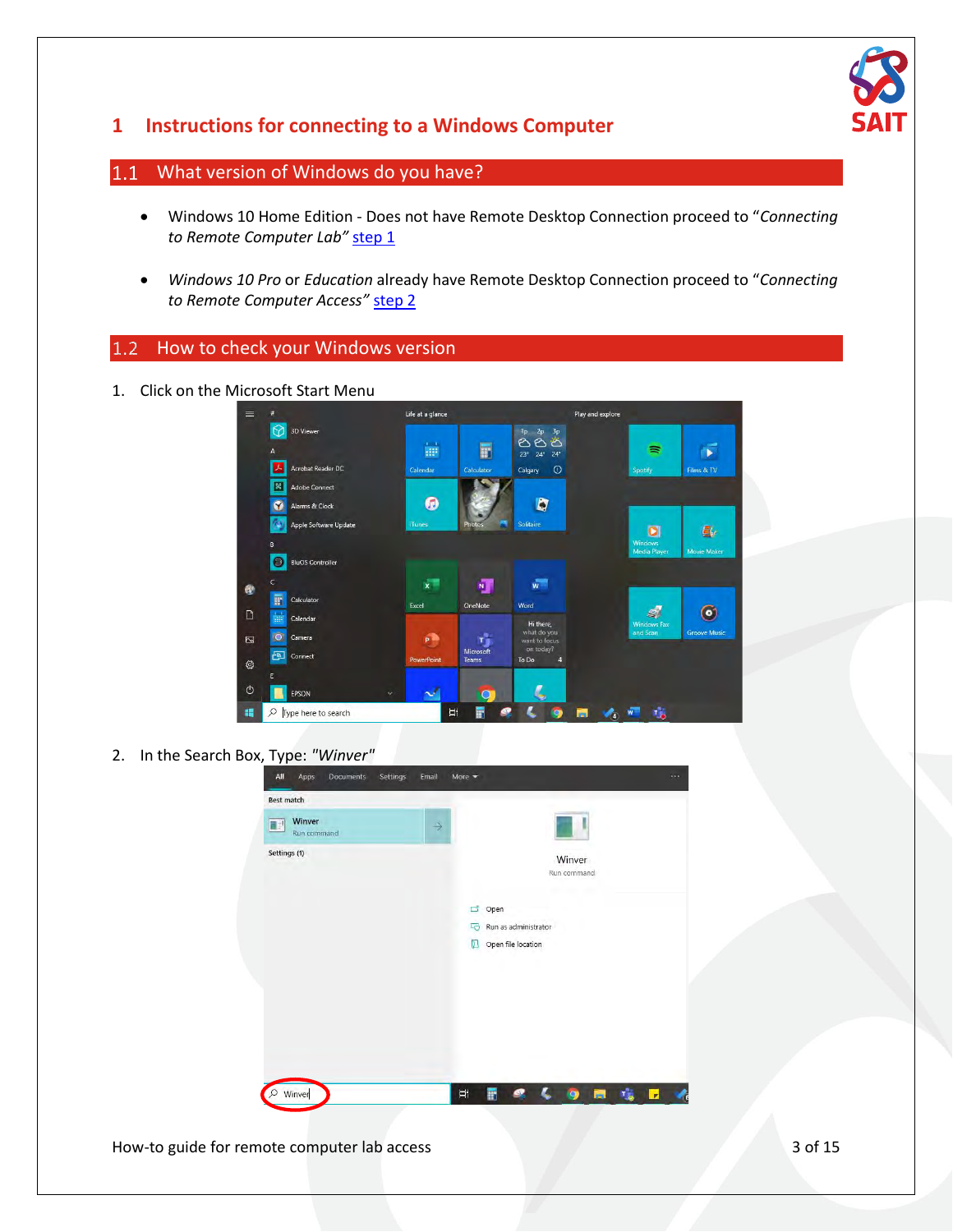

### <span id="page-2-0"></span>**1 Instructions for connecting to a Windows Computer**

#### <span id="page-2-1"></span>What version of Windows do you have?  $1.1$

- Windows 10 Home Edition Does not have Remote Desktop Connection proceed to "*Connecting to Remote Computer Lab"* [step 1](#page-4-0)
- *Windows 10 Pro* or *Education* already have Remote Desktop Connection proceed to "*Connecting to Remote Computer Access"* [step 2](#page-4-0)

#### <span id="page-2-2"></span>How to check your Windows version

1. Click on the Microsoft Start Menu



2. In the Search Box, Type: *"Winver"*

| <b>Best match</b>          |               |                                             |
|----------------------------|---------------|---------------------------------------------|
| Winver<br>п<br>Run command | $\rightarrow$ |                                             |
| Settings (1)               |               | Winver                                      |
|                            |               | Run command                                 |
|                            |               | Open<br>Гŝ                                  |
|                            |               | Run as administrator<br>도망                  |
|                            |               | Open file location<br>$\mathbb{L}$          |
|                            |               |                                             |
|                            |               |                                             |
|                            |               |                                             |
|                            |               |                                             |
|                            |               |                                             |
| Winver                     |               | 喘口<br>ø<br>Ξi<br><b>Fa</b><br>F<br><b>Q</b> |

How-to guide for remote computer lab access 3 of 15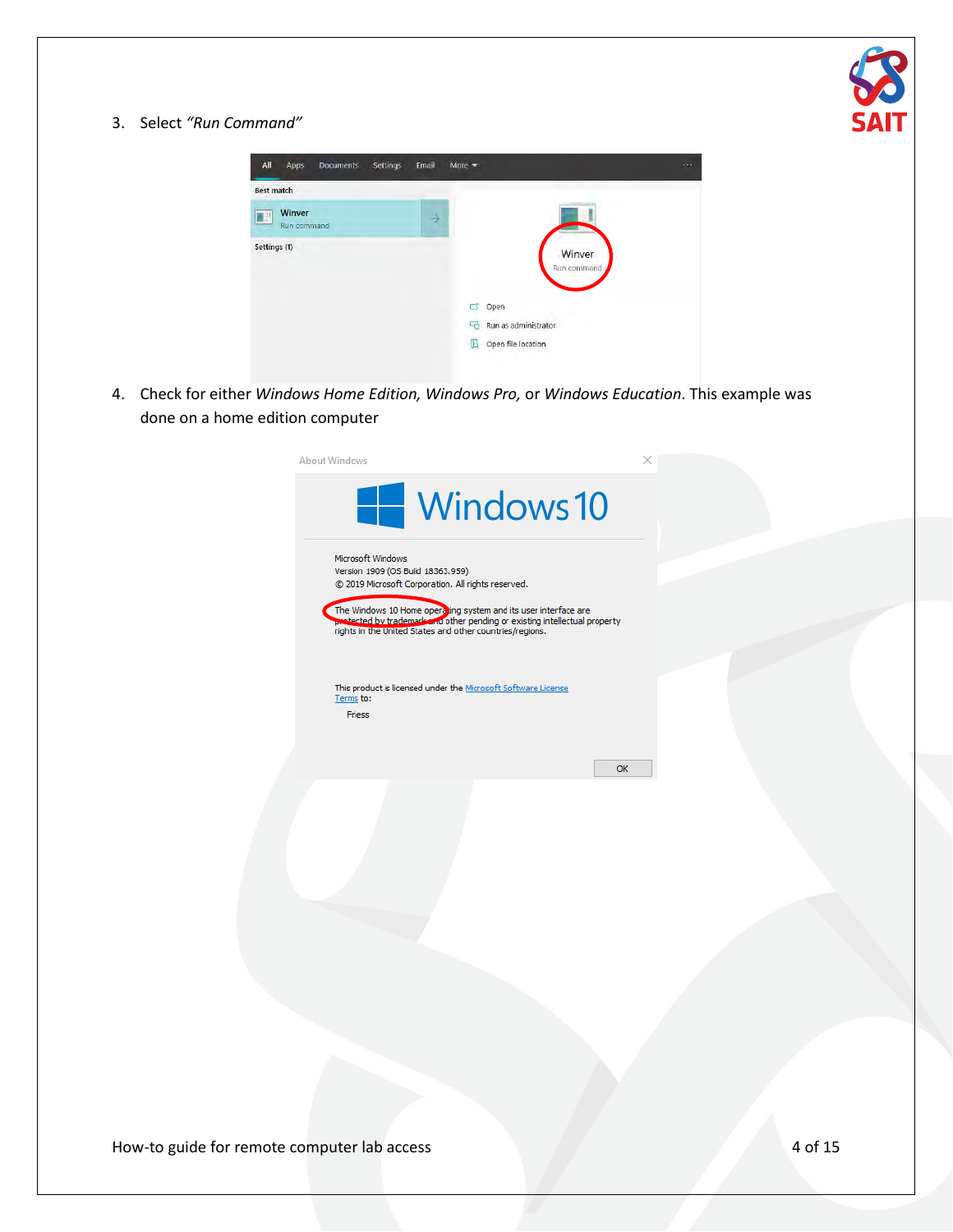

3. Select *"Run Command"*

| All<br>Apps<br>Settings<br><b>Documents</b> | Email | More $\equiv$              | $\cdots$ |
|---------------------------------------------|-------|----------------------------|----------|
| <b>Best match</b>                           |       |                            |          |
| Winver<br>E.<br>Run command                 | →     |                            |          |
| Settings (1)                                |       | Winver<br>Run command      |          |
|                                             |       | Open                       |          |
|                                             |       | Run as administrator<br>L, |          |
|                                             |       | Œ<br>Open file location    |          |

4. Check for either *Windows Home Edition, Windows Pro,* or *Windows Education*. This example was done on a home edition computer

| Windows 10                                                                                                                                                                                                                                                                                                                |  |
|---------------------------------------------------------------------------------------------------------------------------------------------------------------------------------------------------------------------------------------------------------------------------------------------------------------------------|--|
| Microsoft Windows<br>Version 1909 (OS Build 18363.959)<br>© 2019 Microsoft Corporation. All rights reserved.<br>The Windows 10 Home operating system and its user interface are<br>protected by trademark and other pending or existing intellectual property<br>rights in the United States and other countries/regions. |  |
| This product is licensed under the Microsoft Software License<br>Terms to:<br>Friess<br>OK                                                                                                                                                                                                                                |  |
|                                                                                                                                                                                                                                                                                                                           |  |
|                                                                                                                                                                                                                                                                                                                           |  |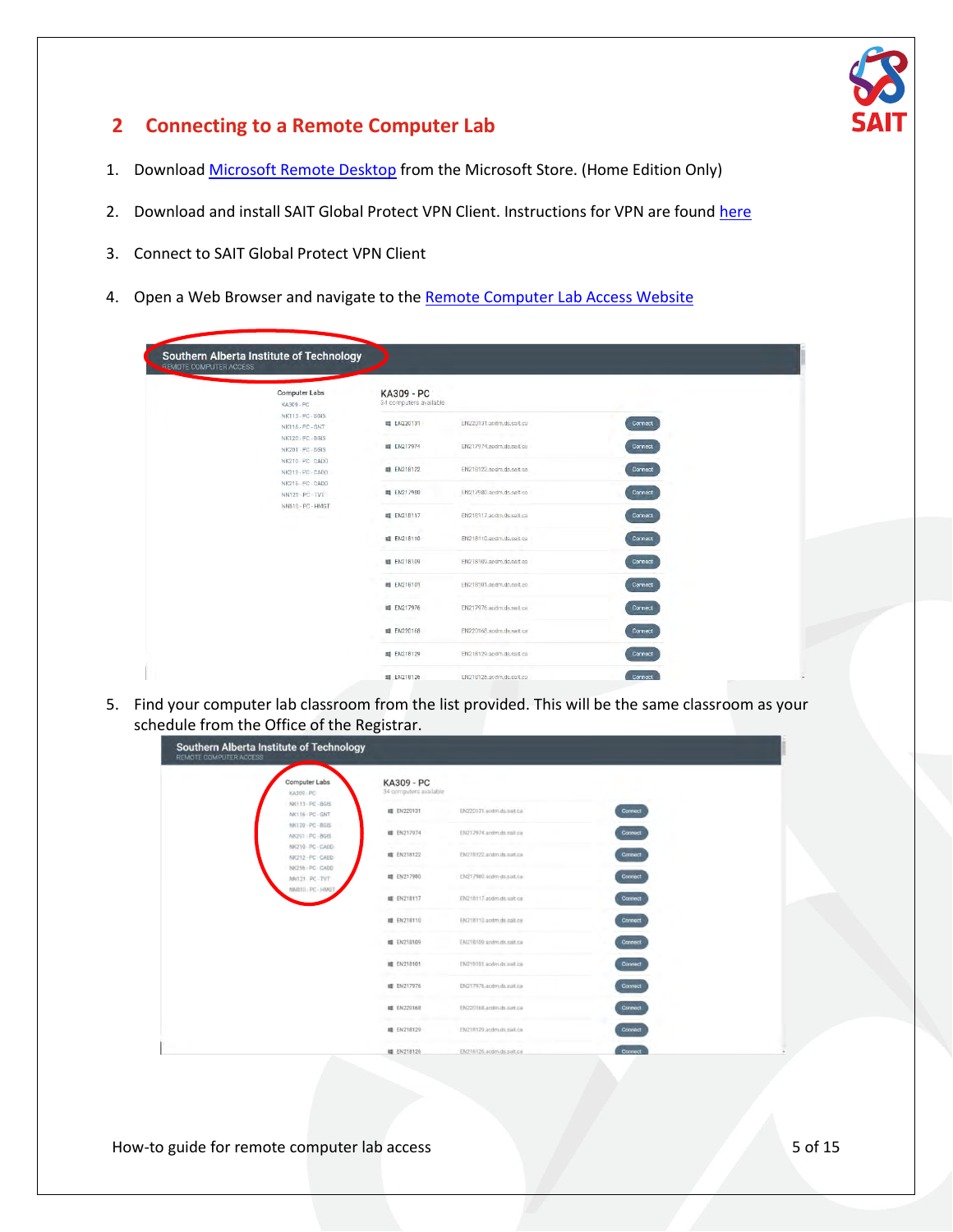

### <span id="page-4-0"></span>**2 Connecting to a Remote Computer Lab**

- 1. Download [Microsoft Remote Desktop](#page-11-0) from the Microsoft Store. (Home Edition Only)
- 2. Download and install SAIT Global Protect VPN Client. Instructions for VPN are found [here](https://www.sait.ca/student-life/student-services/technical-support-and-resources/network-and-wifi-access)
- 3. Connect to SAIT Global Protect VPN Client
- 4. Open a Web Browser and navigate to the [Remote Computer Lab Access Website](https://remoteaccess.labstats.com/Southern-Alberta-Institute-of-Technology)

| <b>KA309 - PC</b><br>34 computers available<br><b>睛 EN220131</b><br><b>相 EN217974</b><br><b>■ EN218122</b><br><b>画 EN217980</b><br><b>調 EN218117</b><br><b>III</b> EN218110 | EN220131.acdm.ds.sait.ca<br>EN217974, accim.ds.sait.ca<br>EN218122 sedm.ds.sait.ca<br>EN217980.accm.ds.sait.ca<br>EN218117.acdm.ds.sait.ca<br>EN218110.acdm.ds.sait.ca | <b>Connect</b><br><b>Connect</b><br>Connect<br>Connect<br>Connect<br>Connect |                                                                  |
|-----------------------------------------------------------------------------------------------------------------------------------------------------------------------------|------------------------------------------------------------------------------------------------------------------------------------------------------------------------|------------------------------------------------------------------------------|------------------------------------------------------------------|
|                                                                                                                                                                             |                                                                                                                                                                        |                                                                              |                                                                  |
|                                                                                                                                                                             |                                                                                                                                                                        |                                                                              |                                                                  |
|                                                                                                                                                                             |                                                                                                                                                                        |                                                                              |                                                                  |
|                                                                                                                                                                             |                                                                                                                                                                        |                                                                              |                                                                  |
|                                                                                                                                                                             |                                                                                                                                                                        |                                                                              |                                                                  |
|                                                                                                                                                                             |                                                                                                                                                                        |                                                                              |                                                                  |
|                                                                                                                                                                             |                                                                                                                                                                        |                                                                              |                                                                  |
| <b>眼 EN218109</b>                                                                                                                                                           | EN218109.accm.ds.salt.ca                                                                                                                                               | Connect                                                                      |                                                                  |
| <b>峰 EN218101</b>                                                                                                                                                           | EN218101.acdm.ds.sait.ca                                                                                                                                               | Connect                                                                      |                                                                  |
|                                                                                                                                                                             | EN217976.acdm.ds.sait.ca                                                                                                                                               | Connect                                                                      |                                                                  |
|                                                                                                                                                                             | FN220168.sodm.ds.sait.ca                                                                                                                                               | <b>Connect</b>                                                               |                                                                  |
|                                                                                                                                                                             | EN218129.accim.ds.sait.ca                                                                                                                                              | Connect                                                                      |                                                                  |
|                                                                                                                                                                             | <b>1 EN217976</b><br><b>眼 EN220168</b><br><b>間 EN218129</b>                                                                                                            |                                                                              | <b>■ EN218126</b><br>EN21B126.accim.ds.sait.ca<br><b>Connect</b> |

5. Find your computer lab classroom from the list provided. This will be the same classroom as your schedule from the Office of the Registrar.

| Southern Alberta Institute of Technology<br>REMOTE COMPUTER ACCESS |                                      |                            |                |
|--------------------------------------------------------------------|--------------------------------------|----------------------------|----------------|
| Computer Labs<br>KA309 PC                                          | KA309 - PC<br>34 computers available |                            |                |
| NK113-PC-BGIS<br>NK116 - PC - GNT                                  | <b>暗 EN220131</b>                    | EN220131 acdm.ds.aa/t.ca   | Connect        |
| NK120 - PC - BGIS<br>NK201 PC BGIS                                 | <b>■ EN217974</b>                    | ENZ17974 acom ds sail.ca   | Connect        |
| NK210-PC-CADD<br>NK212 - PC - CADD                                 | <b>域 EN218122</b>                    | EN218122.acqm.ds.satt.ca   | Connect        |
| NK216 - PC - CADD<br>NN121 PC-TVT                                  | <b>■ EN217980</b>                    | EN217980 acdm ds.sait.ca   | <b>Connect</b> |
| NNETO PC - HMGT                                                    | ■ EN21B117                           | EN218117.acdm.ds.sait.ca   | <b>Connect</b> |
|                                                                    | ■ EN218110                           | EN218110 acdm dit sait cir | <b>Connect</b> |
|                                                                    | <b>IS EN218109</b>                   | EN218109 acdm.ds.sait.ca   | Connect        |
|                                                                    | <b>幅 EN218101</b>                    | EN218101 acdm.ds.sait ca   | Connect        |
|                                                                    | <b>■ EN217976</b>                    | EN217976 activt ds sait ca | Connect        |
|                                                                    | <b>■ EN220168</b>                    | EN220168.acdm.ds.sart.ca   | <b>Connect</b> |
|                                                                    | <b>罐 EN218129</b>                    | EN218129.acdm.ds.sail.ca   | <b>Connect</b> |
|                                                                    | <b>罐 EN218126</b>                    | EN218126.acom.ds.sait.ca   | Connect        |

How-to guide for remote computer lab access 5 of 15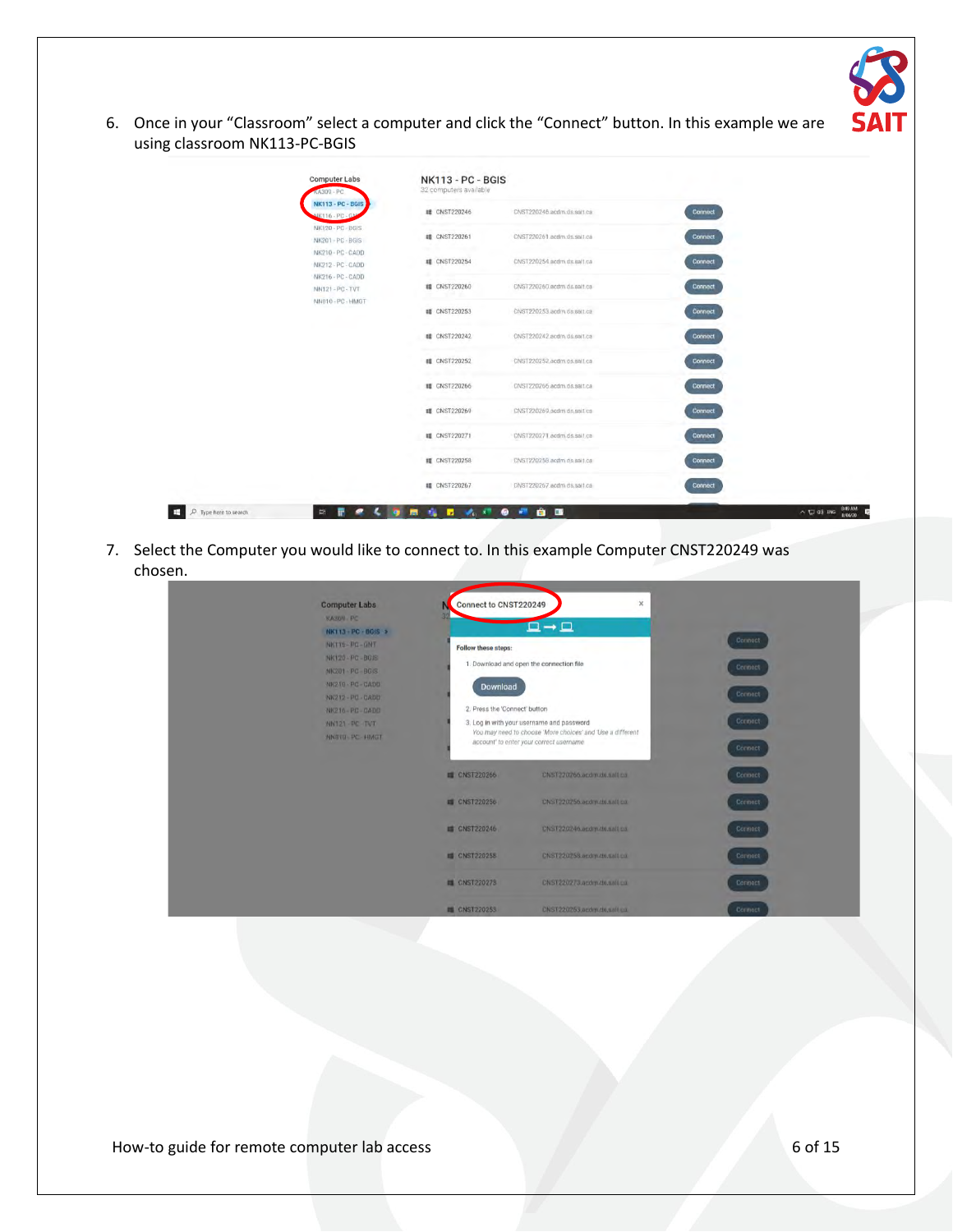

6. Once in your "Classroom" select a computer and click the "Connect" button. In this example we are using classroom NK113-PC-BGIS

| KA309 - PC<br><b>NK113 - PC - BGIS</b> | 32 computers available |                            |                |  |
|----------------------------------------|------------------------|----------------------------|----------------|--|
| IK116 - PC - GN                        | <b>■ CNST220246</b>    | CNST220246.acdm.ds.sait.ca | Connect        |  |
| NK120 - PC - BGIS<br>NK201-PC-BGIS     | <b>III</b> CNST220261  | CNST220261.acdm.ds.sait.ca | Connect        |  |
| NK210 - PC - CADD<br>NK212 - PC - CADD | <b>组 CNST220254</b>    | CNST220254.acdm.ds.salt.ca | Connect        |  |
| NK216 - PC - CADD<br>NN121-PC-TVT      | <b>調 CNST220260</b>    | CNST220260.acdm.ds.salt.ca | Connect        |  |
| NN810 - PC - HMGT                      | <b>眼 CNST220253</b>    | CNST220253 acdm ds sait.ca | Connect        |  |
|                                        | <b>III</b> CNST220242  | CNST220242.acdm.ds.sait.ca | <b>Connect</b> |  |
|                                        | <b>III</b> CNST220252  | CNST220252.acdm.ds.salt.ca | <b>Connect</b> |  |
|                                        | <b>III</b> CNST220266  | CNST220266.acdm.ds.sait.ca | Connect        |  |
|                                        | <b>■ CNST220269</b>    | CNST220269.acdm.ds.sait.ca | Connect        |  |
|                                        | <b>■ CNST220271</b>    | CNST220271.acdm.ds.sait.ca | Connect        |  |
|                                        | <b>罐 CNST220258</b>    | CNST220258.acdm.ds.sait.ca | <b>Connect</b> |  |
|                                        | <b># CNST220267</b>    | CNST220267.acdm.ds.sait.ca | <b>Connect</b> |  |

7. Select the Computer you would like to connect to. In this example Computer CNST220249 was chosen.

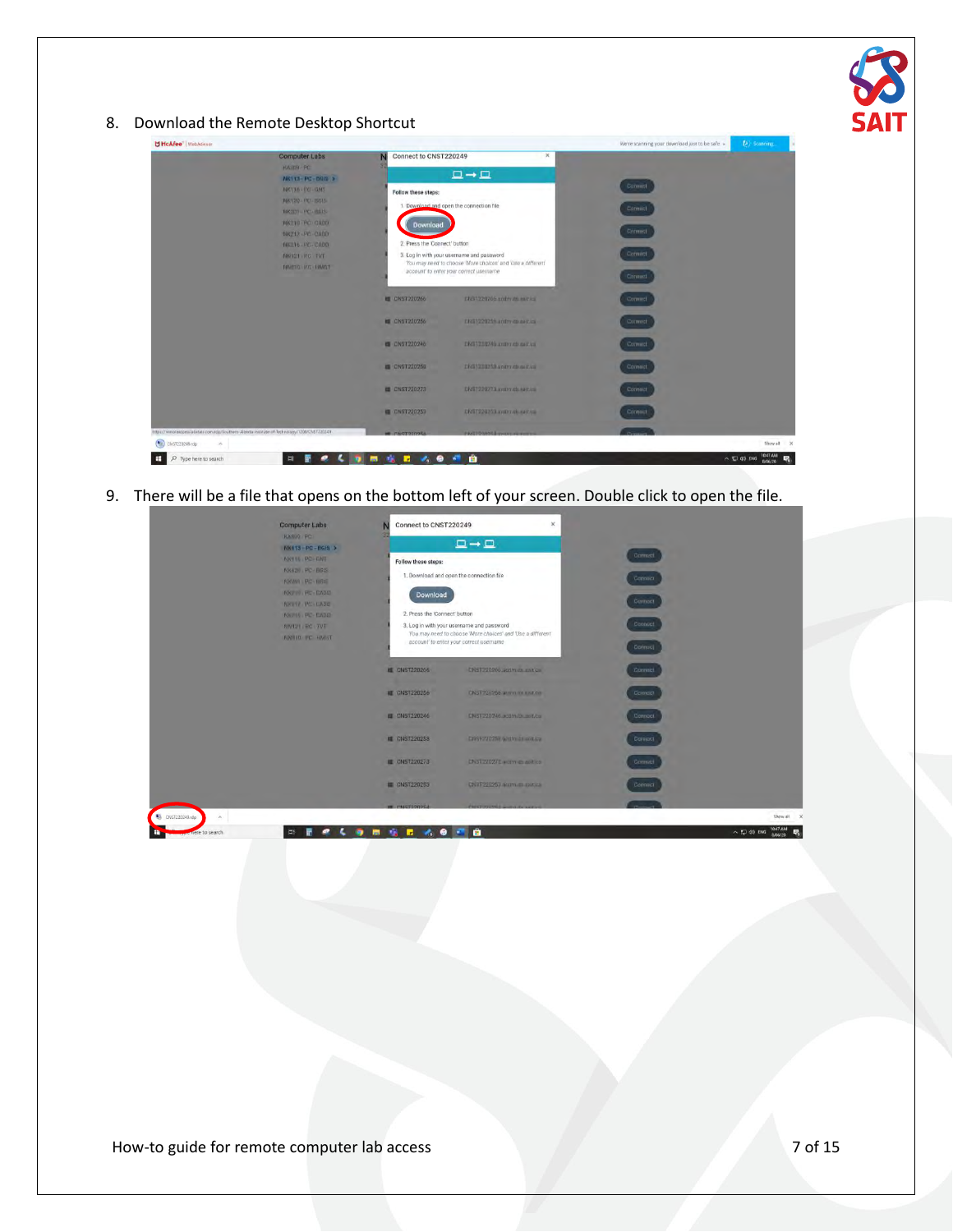

8. Download the Remote Desktop Shortcut

| U McAfee <sup>"</sup>   WebAdvisor                                                            |                                                             |                                                                                                         |                                                                                                          | We're scanning your download just to be safe » | <b>C</b> Scanning                       |
|-----------------------------------------------------------------------------------------------|-------------------------------------------------------------|---------------------------------------------------------------------------------------------------------|----------------------------------------------------------------------------------------------------------|------------------------------------------------|-----------------------------------------|
|                                                                                               | <b>Computer Labs</b><br><b>KASSIN-RC</b><br>NR113-PC-DOIS > | N Connect to CNST220249                                                                                 | $\times$<br>$\Box \rightarrow \Box$                                                                      |                                                |                                         |
|                                                                                               | NK116 - PO - GNT                                            | Follow these steps:                                                                                     |                                                                                                          | Connect                                        |                                         |
|                                                                                               | NK120-PCI-BGIS-<br>TOC203 PC - REUS                         |                                                                                                         | 1. Download and open the connection file                                                                 | Connect                                        |                                         |
|                                                                                               | NK210 PC CADIL                                              | Download                                                                                                |                                                                                                          |                                                |                                         |
|                                                                                               | WR212-PC-CADD                                               |                                                                                                         |                                                                                                          | Connect                                        |                                         |
|                                                                                               | <b>NICEI 6-PC-CADD</b>                                      | 2. Press the 'Connect' button                                                                           |                                                                                                          | Connect                                        |                                         |
|                                                                                               | MN121 HC TVT<br>NUMBER OF BRIDE                             |                                                                                                         | 3. Log in with your username and password<br>You may need to choose 'More choices' and 'Use a different' |                                                |                                         |
|                                                                                               |                                                             |                                                                                                         | account' to enter your correct username                                                                  | Connect                                        |                                         |
|                                                                                               |                                                             | <b>EL CNST220266</b>                                                                                    | ERST220766 and m.dn and in                                                                               | Connect                                        |                                         |
|                                                                                               |                                                             | <b>ME CNST220256</b>                                                                                    | ENST220256 ardredisant.ca                                                                                | Comment                                        |                                         |
|                                                                                               |                                                             | <b>B</b> CNST220246                                                                                     | DNST230240.andro.dh.natt.ca                                                                              | Contract                                       |                                         |
|                                                                                               |                                                             | E CNST220258                                                                                            | DNS1230250 acqttr.divisit ca                                                                             | Connect                                        |                                         |
|                                                                                               |                                                             | E CNST220273                                                                                            | DNST220273 avoiro.ch.kart.ca.                                                                            | Connect                                        |                                         |
|                                                                                               |                                                             | <b>E CNST220253</b>                                                                                     | DNST220253 acqtrt.dk sattisti                                                                            | Connect                                        |                                         |
| https://remoteatcess/abstats.com/rdp/Southern-Alberta-Institute-of-Technology/1208/CNS1720249 |                                                             | <b>MACOCTORY</b>                                                                                        | PARTOGOGAL STORE                                                                                         | Personal                                       |                                         |
| $\left( \bullet \right)$<br>CNST220249 rdp                                                    |                                                             |                                                                                                         |                                                                                                          |                                                | Show all X                              |
| O Type here to search<br>÷                                                                    | $\equiv$<br>т                                               | $\begin{array}{c} \bullet & \bullet \\ \bullet & \bullet \end{array}$<br>ы<br><b>Tak</b><br><b>Part</b> | ÷                                                                                                        |                                                | 10:47 AM<br>$\sim$ TJ 00 ENG<br>8/06/20 |

9. There will be a file that opens on the bottom left of your screen. Double click to open the file.

| <b>Computer Labs</b>                                                                                  | Connect to CNST220249                                                                                                 | $\pmb{\times}$                                             |                               |                                           |
|-------------------------------------------------------------------------------------------------------|-----------------------------------------------------------------------------------------------------------------------|------------------------------------------------------------|-------------------------------|-------------------------------------------|
| KASIVO PO<br>NK113-PC-BGIS ><br><b>NKITG PC-GNT</b><br>NK120 PC BGIS<br>NXWIT PE-THE<br>NK710 FC-DADD | Follow these steps:<br>1. Download and open the connection file<br>Download                                           | $\Box \rightarrow \Box$                                    | Comeci<br>Connect             |                                           |
| NETTO PC LIADE<br>NK/H6 PL DADD<br><b>NNIVE RC TVT</b><br>NNILL PC HMST                               | 2. Press the 'Connect' button<br>3. Log in with your username and password<br>account' to enter your correct username | You may need to choose 'More choices' and 'Use a different | Connoct<br>Connect<br>Connuc) |                                           |
|                                                                                                       | <b>EL CNST220266</b>                                                                                                  | CRST220266 acrim on gait car                               | Connect                       |                                           |
|                                                                                                       | <b>III</b> CNST220256<br><b>EL CN51220246</b>                                                                         | CNST200256 announcement on<br>CNST220246.ocom.thr.mit.com  | Connect<br>Connect.           |                                           |
|                                                                                                       | <b>E CNST220258</b>                                                                                                   | E19512720258 (under direction)                             | Connect                       |                                           |
|                                                                                                       | <b>E CNST220273</b>                                                                                                   | DNST 220273 quitin an ailt ca-                             | Connect                       |                                           |
|                                                                                                       | <b>E CNST220253</b>                                                                                                   | CN3T220253 access as cartico                               | Connect                       |                                           |
| CNST220249.rdp<br>$\sim$                                                                              | <b>MACROSTOMY-</b>                                                                                                    | PRESTORING & COMPANY                                       |                               | Show all                                  |
| Ħ<br>be here to search                                                                                | Ы                                                                                                                     | 商                                                          |                               | 10:47 AM<br>$\wedge$ 53 40 ENG<br>8/06/20 |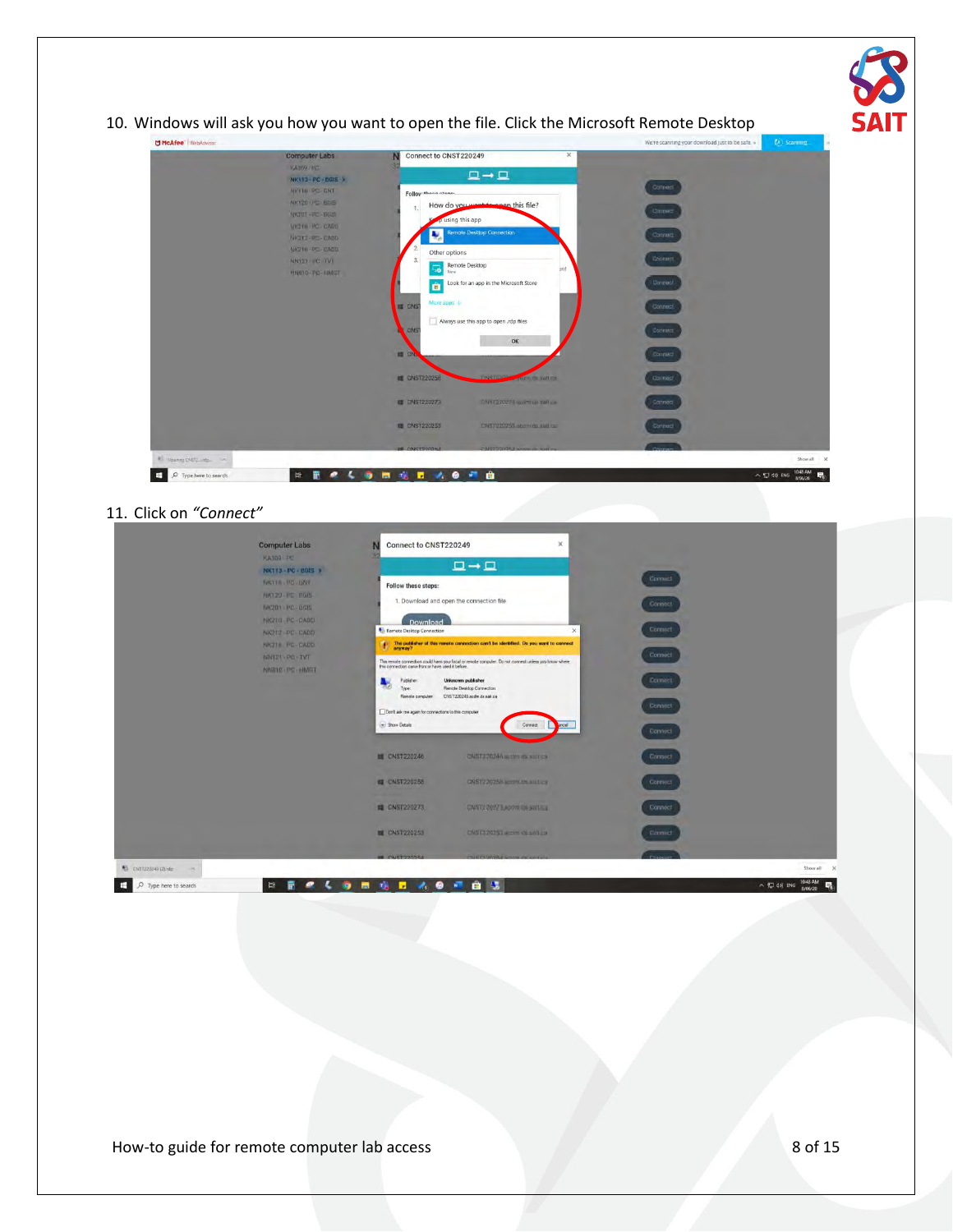| McAfee <sup>-</sup> WebAdvisor |                                                                                                                                                                                                                        |                                                                                                                                                                                                                                                                                                                                                                                                                                                                                                                                       |                                              | We're scanning your download just to be safe »                                                                                        | (2) scarming. |
|--------------------------------|------------------------------------------------------------------------------------------------------------------------------------------------------------------------------------------------------------------------|---------------------------------------------------------------------------------------------------------------------------------------------------------------------------------------------------------------------------------------------------------------------------------------------------------------------------------------------------------------------------------------------------------------------------------------------------------------------------------------------------------------------------------------|----------------------------------------------|---------------------------------------------------------------------------------------------------------------------------------------|---------------|
|                                | <b>Computer Labs</b><br><b>VASNO-PC</b><br>NK113-PC-BOIS 3<br>NICELO PC-GNT<br><b>NK120 PC BOIS</b><br>NN203-PC-BGIS<br><b>MK210 PC CADU</b><br>NK212-PC-CADD<br>NKZIN-PC-CADD<br>NN121 FC TVT<br><b>NNB10-PC-NMGT</b> | Connect to CNST220249<br>$\Box \rightarrow \Box$<br>Folloy: these stans<br>How do you went to enen this file?<br>p using this app<br><b>Remote Desktop Connection</b><br>Other options<br>Remote Desktop<br>Look for an app in the Microsoft Store<br>E.<br>More apps<br><b>E CNST</b><br>Always use this app to open .rdp files<br>CNS <sup>:</sup><br><b>OK</b><br>E CN<br><b>EL CNST220258</b><br><b>CNRT9300</b><br><b>DANT220278 ADMITRIA SHILLA</b><br><b>U CNST220273</b><br><b>E CNST220253</b><br>CNST220253 accords and car | $\times$<br>brit<br><b>STI Bun 4D (r) bu</b> | Connect<br><b>Connect</b><br>Connect<br>Connect<br>Connect<br>Connect<br>Connect:<br><b>Connuct</b><br>Connect<br>Connect:<br>Connect |               |
| # Opening CNST2 /dp.           |                                                                                                                                                                                                                        | <b>HE CARTOONSE</b><br><b>CAUSTRONATA A</b>                                                                                                                                                                                                                                                                                                                                                                                                                                                                                           |                                              |                                                                                                                                       |               |

#### 11. Click on *"Connect"*

|                                | <b>Computer Labs</b>                                                                             | Connect to CNST220249                                                                                                        | ×                                                                                                                                                                                                                                                                                                                                                                   |                                           |                                                 |
|--------------------------------|--------------------------------------------------------------------------------------------------|------------------------------------------------------------------------------------------------------------------------------|---------------------------------------------------------------------------------------------------------------------------------------------------------------------------------------------------------------------------------------------------------------------------------------------------------------------------------------------------------------------|-------------------------------------------|-------------------------------------------------|
|                                | <b>KA3D9 PD</b><br>NK113 - PC - BGIS >                                                           |                                                                                                                              | $\Box \rightarrow \Box$                                                                                                                                                                                                                                                                                                                                             |                                           |                                                 |
|                                | NKTTA . PC GNT<br><b>NATION-TO BOIS-</b><br>NIC201 - PC - UGIS<br>NKZ10-PC-OADD<br>NK212 PC CADD | Follow these steps:<br>Download<br>Remote Desktop Connection                                                                 | 1. Download and open the connection file<br>$\times$                                                                                                                                                                                                                                                                                                                | <b>Comed</b><br><b>Connect</b><br>Connect |                                                 |
|                                | NK716 PC-CADD<br><b>IGHET-PE-TVT</b><br>NNR1C-PC-HMGT                                            | Publisher:<br>$-159$<br>Type:<br>Remote computer:<br>Don't ask me again for connections to this computer<br>(m) Show Details | $\frac{4}{3}$ . The publisher of this remote connection can't be identified. De you want to connect anyway?<br>This remote connection could ham your local or remote computer. Do not connect unless you know where<br>this connection came from or have used it before.<br>Unknown publisher<br>Reinote Desktop Connection<br>CNST220249 acdm.ds sat ca<br>Connect | Connect<br>Donnect<br>Connect             |                                                 |
|                                |                                                                                                  | <b>EL CNST220246</b>                                                                                                         | ONST220244-actim da sait ca                                                                                                                                                                                                                                                                                                                                         | Connect<br>Connect                        |                                                 |
|                                |                                                                                                  | <b>ED CNST220258</b><br><b>E CNST220273</b>                                                                                  | CNST220258 ardm.th.aut.ca<br>CNST220271 Applies the sail for                                                                                                                                                                                                                                                                                                        | Connect<br>Connect                        |                                                 |
|                                |                                                                                                  | <b>M</b> CNST220253<br><b>WE CARTOONSA</b>                                                                                   | CAST270253 serim di salt.co<br>THE PERIOD STREET                                                                                                                                                                                                                                                                                                                    | Connect                                   |                                                 |
| 5 CNST220249 (2) rdp<br>$\sim$ |                                                                                                  |                                                                                                                              |                                                                                                                                                                                                                                                                                                                                                                     |                                           | Show all<br>$\times$                            |
| Ø.<br>Type here to search<br>÷ | Ħ<br>۰<br>龗                                                                                      | m<br><b>TER</b><br>$2.9 - 1$<br>п                                                                                            | 自我                                                                                                                                                                                                                                                                                                                                                                  |                                           | 10:48 AM<br>$\land$ ( $\Box$ 4%) ENG<br>8/06/20 |

How-to guide for remote computer lab access 8 of 15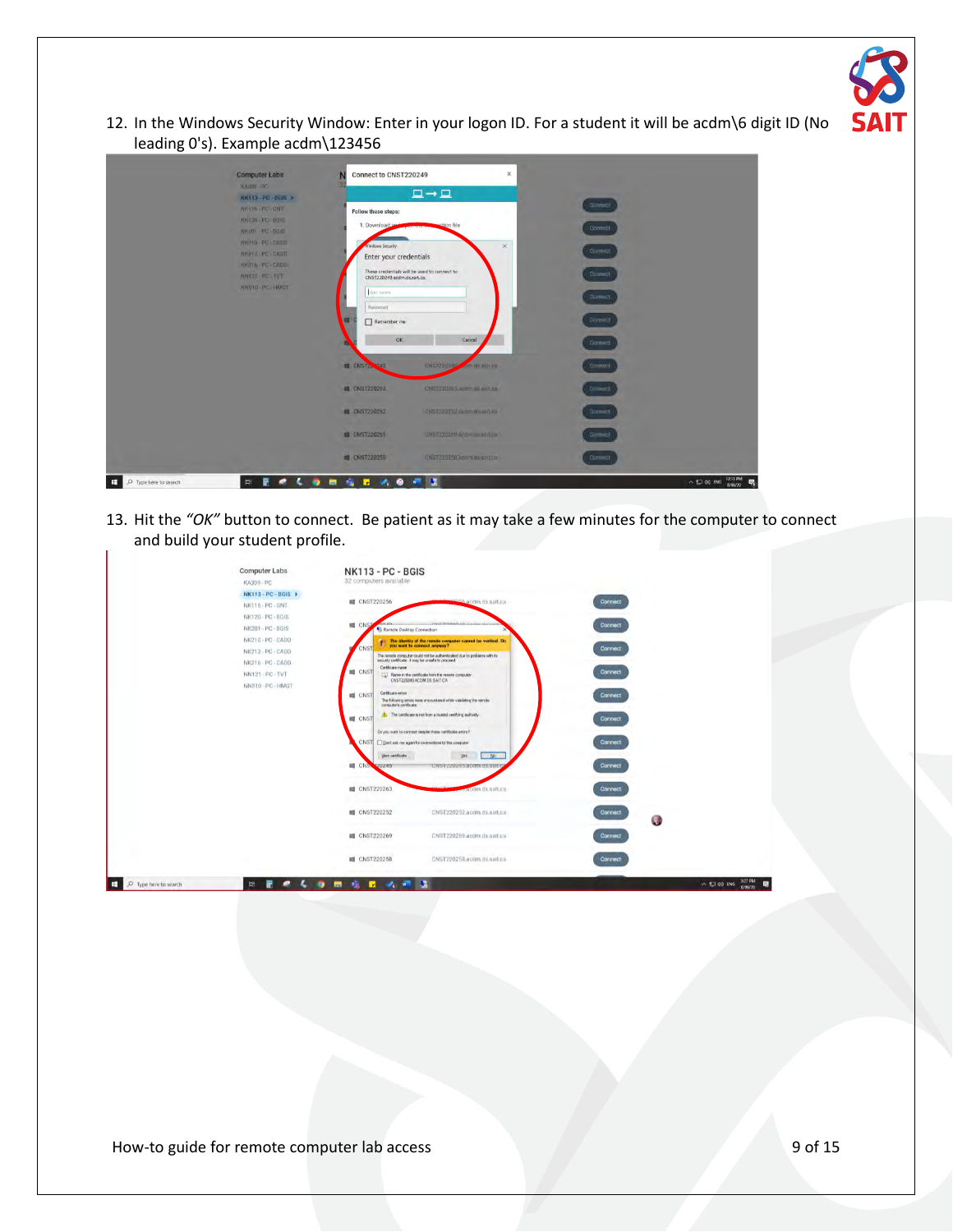

12. In the Windows Security Window: Enter in your logon ID. For a student it will be acdm\6 digit ID (No leading 0's). Example acdm\123456

| <b>Computer Labs</b> | Connect to CNST220249       | $\boldsymbol{\times}$                        |                |  |
|----------------------|-----------------------------|----------------------------------------------|----------------|--|
| KASHU RC             |                             |                                              |                |  |
| NK113-PC-DOM >       |                             | $\Box \rightarrow \Box$                      | <b>Connect</b> |  |
| NKYTO - PIC-ENT      | Follow these steps:         |                                              |                |  |
| NK120 - PC - BOIS    | 1. Download an              | ection file                                  |                |  |
| NR.201-PE-RGEE       |                             |                                              | Connect        |  |
| NIN HO-PC-CADO       | Windows Security            | $\times$                                     | Contract       |  |
| NEVY PC-FADD         | Enter your credentials      |                                              |                |  |
| NK TTO - PU - GADO   |                             | These credentials will be used to connect to | Connect        |  |
| NHY21-PC-TVT         | CNST220249.acdm.ds.sait.ca. |                                              |                |  |
| NNETO-PC-HMGT        | line name                   |                                              | <b>Gonnact</b> |  |
|                      | Password                    |                                              |                |  |
|                      |                             |                                              | Comedi         |  |
|                      | Remember me                 |                                              |                |  |
|                      | <b>OK</b>                   | Cancel                                       | Connect        |  |
|                      |                             |                                              |                |  |
|                      | <b>EL CNSTANO45</b>         | CNSTZUMAS<br>com de unit au                  | Connect        |  |
|                      |                             |                                              |                |  |
|                      | <b>EL CNST220263</b>        | CNETZZOZ63 acom za anitza                    | <b>Connect</b> |  |
|                      |                             |                                              |                |  |
|                      | <b>EL CNST220252</b>        | CNST270252-midm (framfold)                   | Connect.       |  |
|                      | . .                         |                                              |                |  |
|                      | <b>EL CNST220269:</b>       | CNET220269 address antes                     | Commer.        |  |
|                      |                             |                                              |                |  |
|                      | <b>E CNST220250</b>         | CNST220258 voorwels europe                   | Connect        |  |
|                      |                             |                                              |                |  |

13. Hit the *"OK"* button to connect. Be patient as it may take a few minutes for the computer to connect and build your student profile.

|                            | Computer Labs<br>KA309 - PC | <b>NK113 - PC - BGIS</b><br>32 computers available                                 |                                                                                        |                |                               |
|----------------------------|-----------------------------|------------------------------------------------------------------------------------|----------------------------------------------------------------------------------------|----------------|-------------------------------|
|                            | NK113-PC-BGIS >             |                                                                                    |                                                                                        |                |                               |
|                            | NK116 - PC - GNT            | <b>III</b> CNST220256                                                              | experiences and azerograms.                                                            | <b>Connect</b> |                               |
|                            | NK120 - PC - BGIS           |                                                                                    |                                                                                        |                |                               |
|                            | NK201 - PC - BGIS           | <b>ME CNST</b><br><b>GALAZY</b><br><b>A</b> <sub>D</sub> Remote Desktop Connection | PAGE Editorial Advancedure of any                                                      | <b>Connect</b> |                               |
|                            | NK210-PC-CADD               |                                                                                    | The identity of the runote computer cannot be verified. Do you want to connect anyway? |                |                               |
|                            | NK212 - PC - CADD           | CNST                                                                               | The remote computer could not be authenticated due to problems with its                | <b>Connect</b> |                               |
|                            | NK216 - PC - CADD           |                                                                                    | security certificate. It may be unsafe to proceed                                      |                |                               |
|                            | NN121 PC TVT                | Cerificate name<br><b>IS CNST</b>                                                  | [1] Name in the certificate from the remote computer                                   | <b>Connect</b> |                               |
|                            | NN810-PC-HMGT               |                                                                                    | CNST220249 ACDM DS SAIT CA                                                             |                |                               |
|                            |                             | Certicate errors<br><b>III</b> CNST                                                | The following errors were encountered while validating the remote.                     | Connect        |                               |
|                            |                             | computer's certificate:                                                            |                                                                                        |                |                               |
|                            |                             | <b>EL</b> CNST                                                                     | The certificate is not from a trusted certifying authorty                              | Connect        |                               |
|                            |                             |                                                                                    | Do you want to connect despite these certificate amont?                                |                |                               |
|                            |                             |                                                                                    | CNST   Don't ask me again for corrections to the computer                              | Connect        |                               |
|                            |                             | yes cetilicate.                                                                    | 一脚。<br>101                                                                             |                |                               |
|                            |                             | <b>III</b> CNS<br><b>VUZZD</b>                                                     | UNST 220245 accriterian                                                                | Connect        |                               |
|                            |                             |                                                                                    |                                                                                        |                |                               |
|                            |                             | <b>III</b> CNST220263                                                              | o acom da suit ca                                                                      | Connect        |                               |
|                            |                             |                                                                                    |                                                                                        |                |                               |
|                            |                             | <b>III</b> CNST220252                                                              | CNST220252.acdm.ds.saft.ca                                                             | <b>Connect</b> |                               |
|                            |                             |                                                                                    |                                                                                        | $\mathcal{A}$  |                               |
|                            |                             | <b>III</b> CNST220269                                                              | CNST220269.acdm.ds.satt.ca                                                             | <b>Connect</b> |                               |
|                            |                             |                                                                                    |                                                                                        |                |                               |
|                            |                             | <b>III</b> CNST220258                                                              | CNST220258.accim.ds.sait.ca                                                            | <b>Connect</b> |                               |
|                            |                             |                                                                                    |                                                                                        |                |                               |
| E<br>O Type here to search | Ħ                           | <b>TAIL WITH</b><br>ъ                                                              | - 5                                                                                    |                | 3/27 PM<br>$\wedge$ 13 do ENG |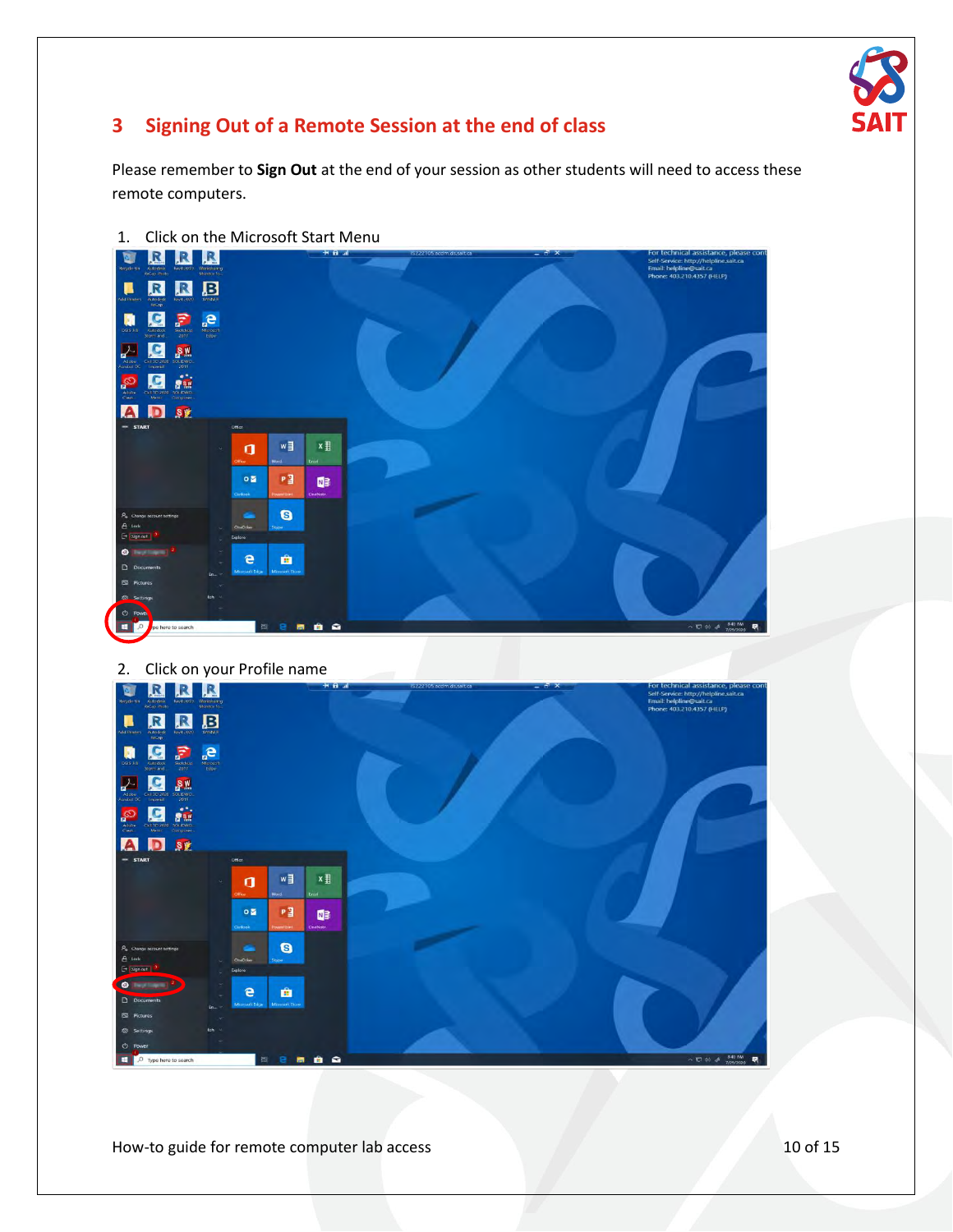

## **3 Signing Out of a Remote Session at the end of class**

Please remember to **Sign Out** at the end of your session as other students will need to access these remote computers.



**IRRB n g**<sub>r</sub><sub>e</sub> **ZES OCH ADSE**  $w \equiv$  $x \frac{m}{2}$  $\mathbf{q}$ P3  $\bullet$   $\blacksquare$  $\blacksquare$  $\bullet$  $\ddot{e}$ â

How-to guide for remote computer lab access 10 of 15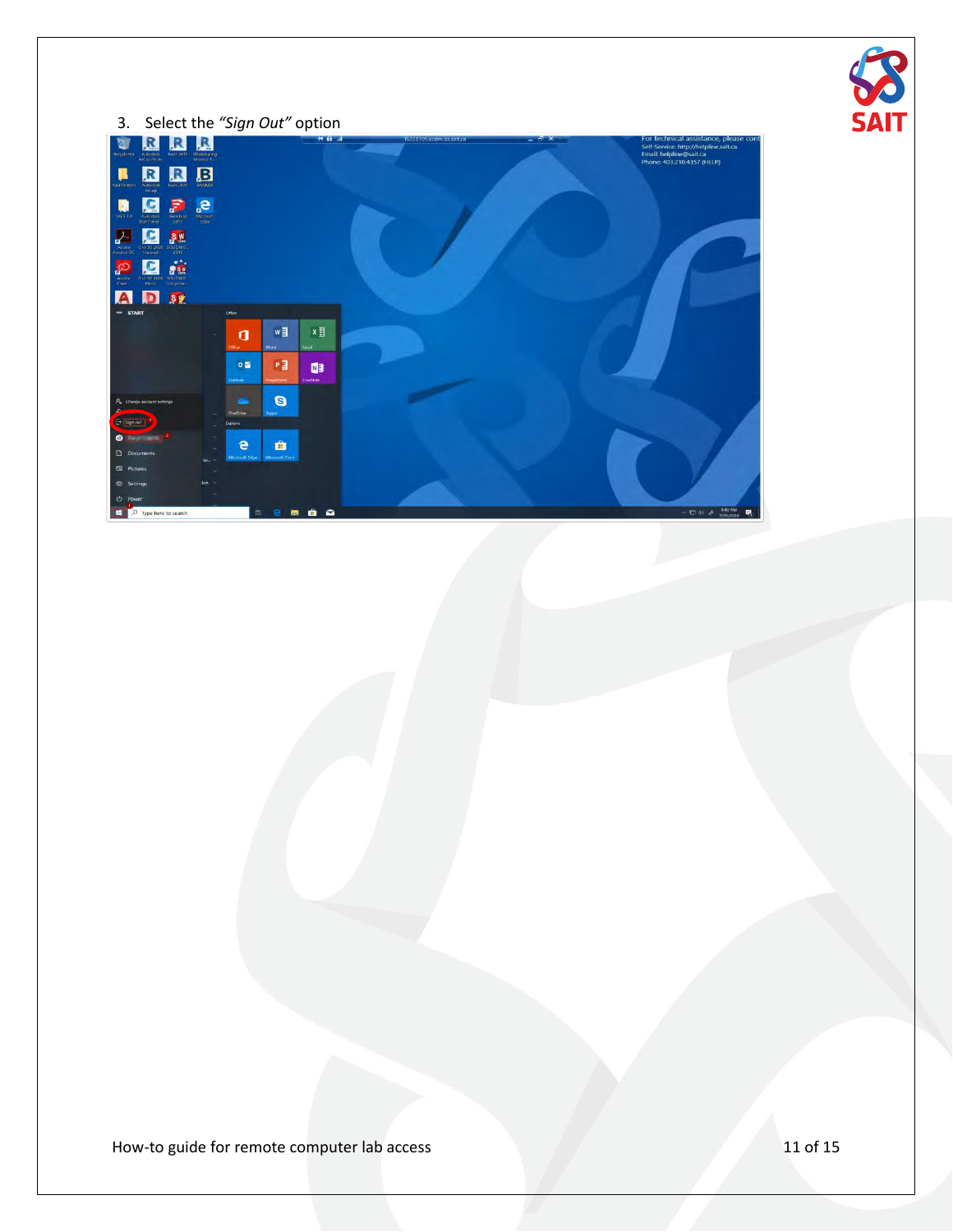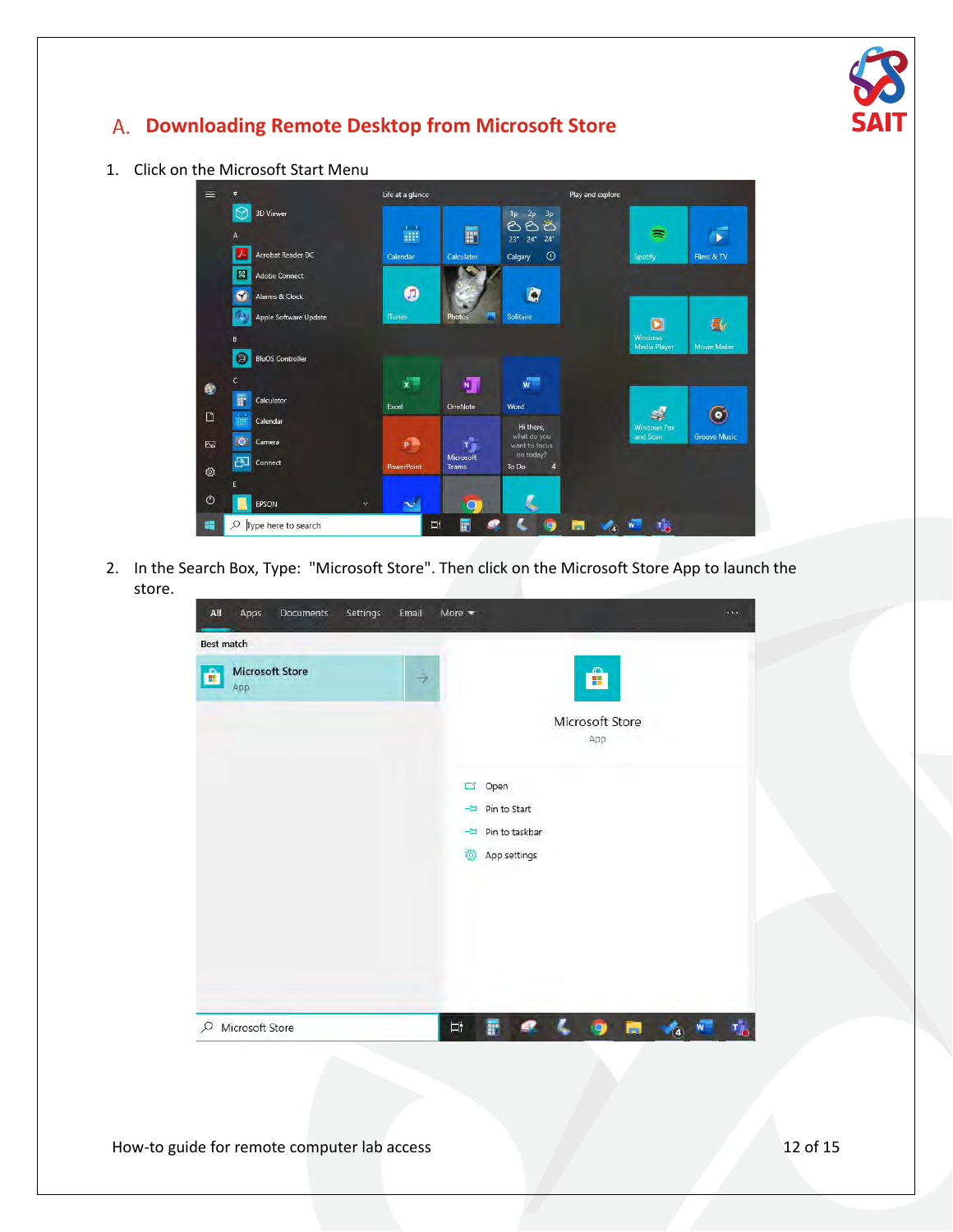

## <span id="page-11-0"></span>**Downloading Remote Desktop from Microsoft Store**

#### 1. Click on the Microsoft Start Menu



2. In the Search Box, Type: "Microsoft Store". Then click on the Microsoft Store App to launch the store.

| All               | Apps                          | Documents | Settings | Email | More $\equiv$ |                                        |                        |   | 180 |
|-------------------|-------------------------------|-----------|----------|-------|---------------|----------------------------------------|------------------------|---|-----|
| <b>Best match</b> |                               |           |          |       |               |                                        |                        |   |     |
| Ê                 | <b>Microsoft Store</b><br>App |           |          | →     |               |                                        | Ĥ                      |   |     |
|                   |                               |           |          |       |               |                                        | Microsoft Store<br>App |   |     |
|                   |                               |           |          |       | 冒             | Open                                   |                        |   |     |
|                   |                               |           |          |       |               | -El Pin to Start<br>-El Pin to taskbar |                        |   |     |
|                   |                               |           |          |       | ශ             | App settings                           |                        |   |     |
|                   |                               |           |          |       |               |                                        |                        |   |     |
|                   |                               |           |          |       |               |                                        |                        |   |     |
|                   |                               |           |          |       |               |                                        |                        |   |     |
|                   | O Microsoft Store             |           |          |       | 軍             | F                                      |                        | п | W   |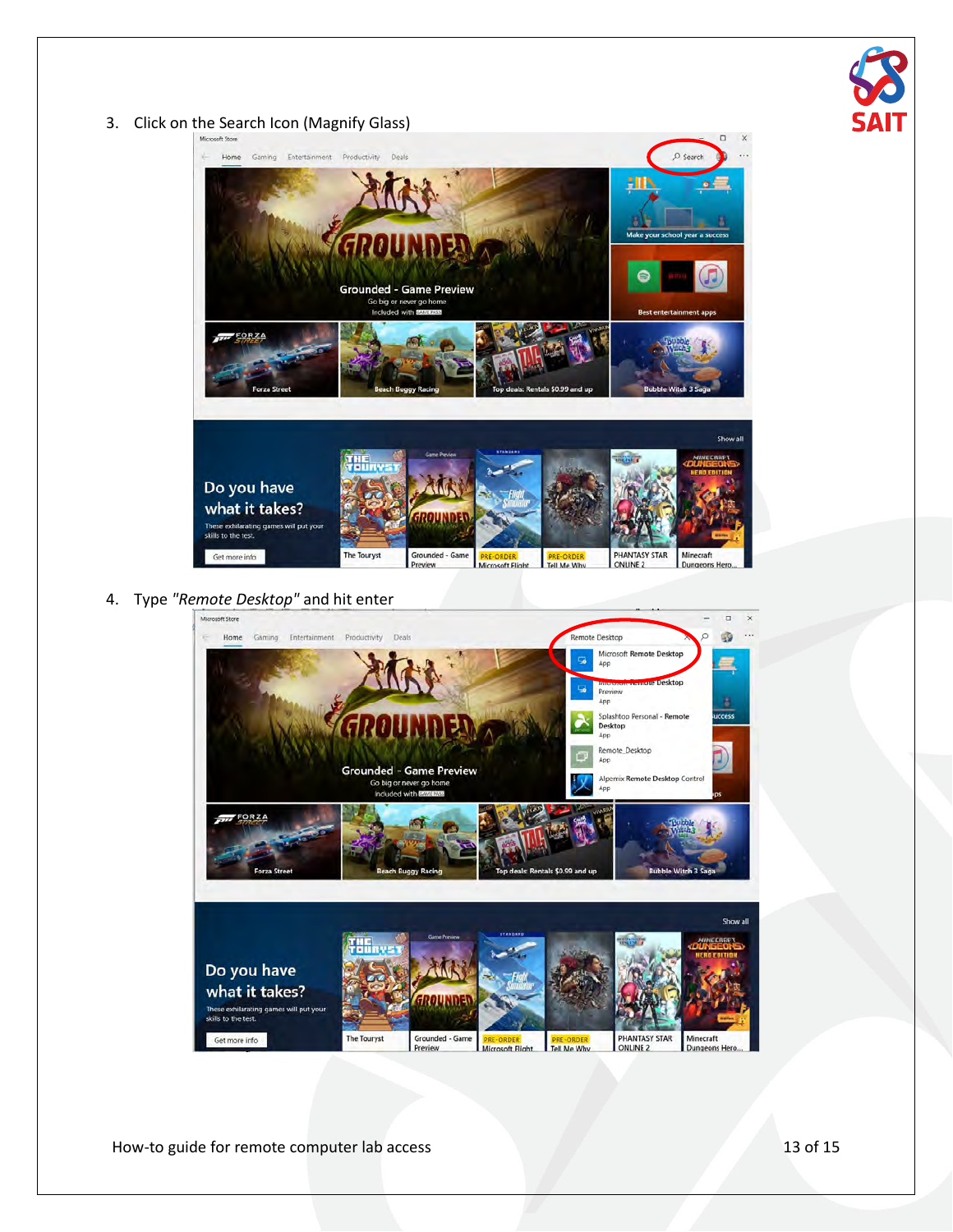

#### 3. Click on the Search Icon (Magnify Glass)



**RE-ORDER** Tell Me Wh

**Dungeons He** 

Microsoft Flight

## 4. Type *"Remote Desktop"* and hit enter



How-to guide for remote computer lab access 13 of 15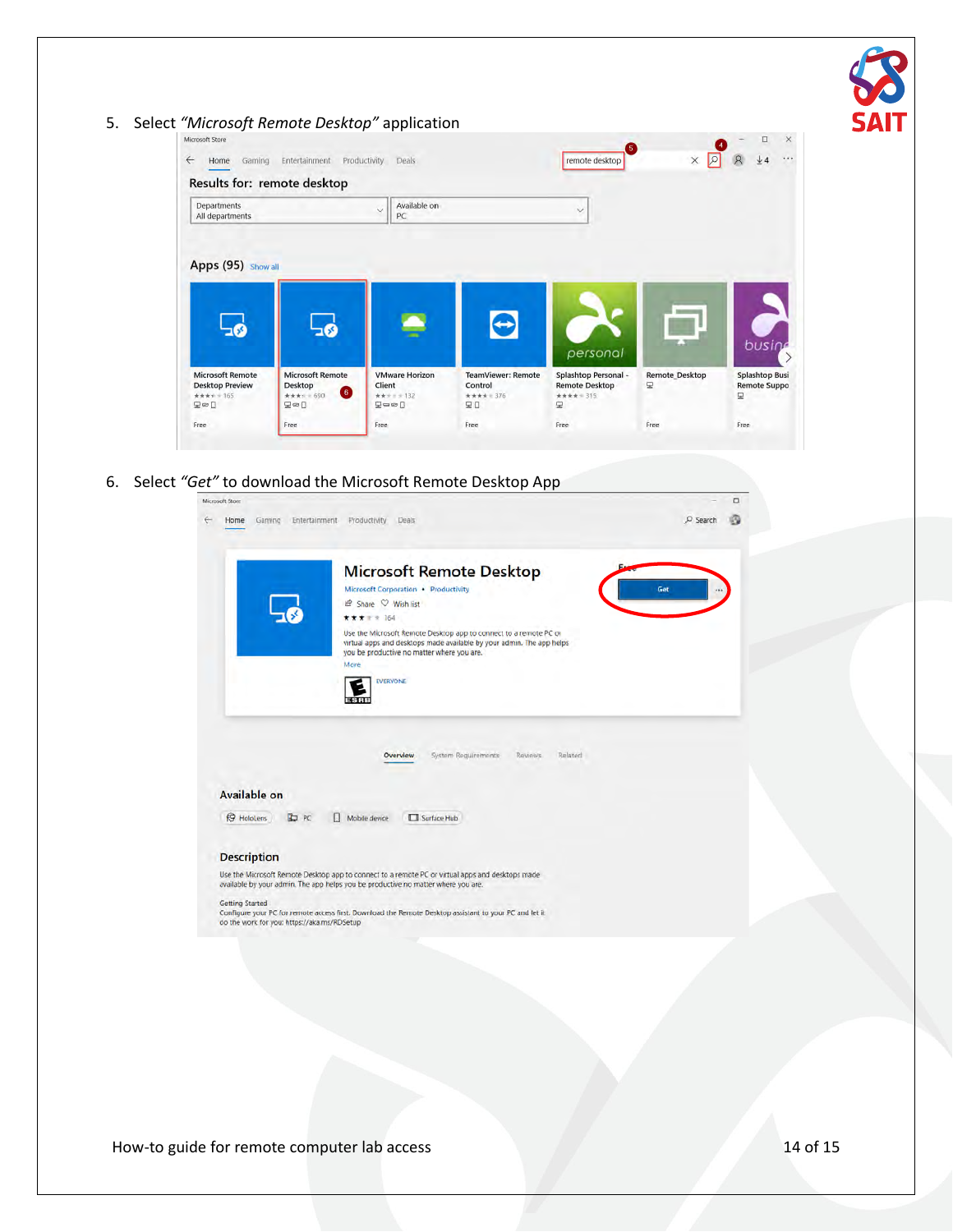

6. Select *"Get"* to download the Microsoft Remote Desktop App

|                                                                | <b>Microsoft Remote Desktop</b>                                                                                                                                                                  |     |
|----------------------------------------------------------------|--------------------------------------------------------------------------------------------------------------------------------------------------------------------------------------------------|-----|
|                                                                | Microsoft Corporation · Productivity<br>in Share ♡ Wish list                                                                                                                                     | Get |
|                                                                | ***** 164                                                                                                                                                                                        |     |
|                                                                | Use the Microsoft Remote Desktop app to connect to a remote PC or<br>virtual apps and desktops made available by your admin. The app helps<br>you be productive no matter where you are.<br>More |     |
|                                                                | <b>EVERYONE</b>                                                                                                                                                                                  |     |
|                                                                |                                                                                                                                                                                                  |     |
|                                                                | System Requirements<br>Related<br><b>Reviews</b><br>Overview                                                                                                                                     |     |
|                                                                |                                                                                                                                                                                                  |     |
| Available on                                                   |                                                                                                                                                                                                  |     |
| <b>B</b> HoloLens<br><b>C</b> PC                               | Surface Hub<br>П<br>Mobile device                                                                                                                                                                |     |
|                                                                |                                                                                                                                                                                                  |     |
|                                                                |                                                                                                                                                                                                  |     |
| <b>Description</b>                                             | Use the Microsoft Remote Desktop app to connect to a remote PC or virtual apps and desktops made<br>available by your admin. The app helps you be productive no matter where you are.            |     |
| Getting Started<br>do the work for you: https://aka.ms/RDSetup | Configure your PC for remote access first. Download the Remote Desktop assistant to your PC and let it                                                                                           |     |
|                                                                |                                                                                                                                                                                                  |     |
|                                                                |                                                                                                                                                                                                  |     |

How-to guide for remote computer lab access 14 of 15